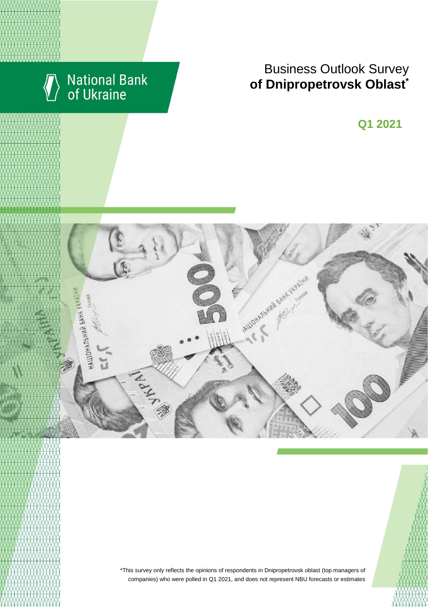

# Business Outlook Survey **of Dnipropetrovsk Oblast**\*

**Q1 2021**



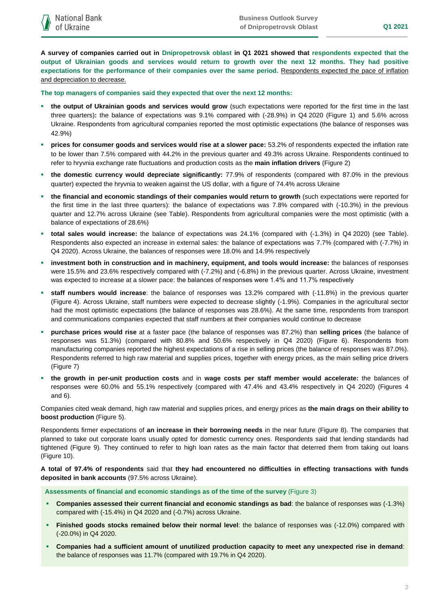**A survey of companies carried out in Dnipropetrovsk oblast in Q1 2021 showed that respondents expected that the output of Ukrainian goods and services would return to growth over the next 12 months. They had positive expectations for the performance of their companies over the same period.** Respondents expected the pace of inflation and depreciation to decrease.

**The top managers of companies said they expected that over the next 12 months:**

- **the output of Ukrainian goods and services would grow** (such expectations were reported for the first time in the last three quarters)**:** the balance of expectations was 9.1% compared with (-28.9%) in Q4 2020 (Figure 1) and 5.6% across Ukraine. Respondents from agricultural companies reported the most optimistic expectations (the balance of responses was 42.9%)
- **prices for consumer goods and services would rise at a slower pace:** 53.2% of respondents expected the inflation rate to be lower than 7.5% compared with 44.2% in the previous quarter and 49.3% across Ukraine. Respondents continued to refer to hryvnia exchange rate fluctuations and production costs as the **main inflation drivers** (Figure 2)
- **the domestic currency would depreciate significantly:** 77.9% of respondents (compared with 87.0% in the previous quarter) expected the hryvnia to weaken against the US dollar, with a figure of 74.4% across Ukraine
- **the financial and economic standings of their companies would return to growth** (such expectations were reported for the first time in the last three quarters): the balance of expectations was 7.8% compared with (-10.3%) in the previous quarter and 12.7% across Ukraine (see Table). Respondents from agricultural companies were the most optimistic (with a balance of expectations of 28.6%)
- **total sales would increase:** the balance of expectations was 24.1% (compared with (-1.3%) in Q4 2020) (see Table). Respondents also expected an increase in external sales: the balance of expectations was 7.7% (compared with (-7.7%) in Q4 2020). Across Ukraine, the balances of responses were 18.0% and 14.9% respectively
- **investment both in construction and in machinery, equipment, and tools would increase:** the balances of responses were 15.5% and 23.6% respectively compared with (-7.2%) and (-6.8%) in the previous quarter. Across Ukraine, investment was expected to increase at a slower pace: the balances of responses were 1.4% and 11.7% respectively
- **staff numbers would increase**: the balance of responses was 13.2% compared with (-11.8%) in the previous quarter (Figure 4). Across Ukraine, staff numbers were expected to decrease slightly (-1.9%). Companies in the agricultural sector had the most optimistic expectations (the balance of responses was 28.6%). At the same time, respondents from transport and communications companies expected that staff numbers at their companies would continue to decrease
- **purchase prices would rise** at a faster pace (the balance of responses was 87.2%) than **selling prices** (the balance of responses was 51.3%) (compared with 80.8% and 50.6% respectively in Q4 2020) (Figure 6). Respondents from manufacturing companies reported the highest expectations of a rise in selling prices (the balance of responses was 87.0%). Respondents referred to high raw material and supplies prices, together with energy prices, as the main selling price drivers (Figure 7)
- **the growth in per-unit production costs** and in **wage costs per staff member would accelerate:** the balances of responses were 60.0% and 55.1% respectively (compared with 47.4% and 43.4% respectively in Q4 2020) (Figures 4 and 6).

Companies cited weak demand, high raw material and supplies prices, and energy prices as **the main drags on their ability to boost production** (Figure 5).

Respondents firmer expectations of **an increase in their borrowing needs** in the near future (Figure 8). The companies that planned to take out corporate loans usually opted for domestic currency ones. Respondents said that lending standards had tightened (Figure 9). They continued to refer to high loan rates as the main factor that deterred them from taking out loans (Figure 10).

**A total of 97.4% of respondents** said that **they had encountered no difficulties in effecting transactions with funds deposited in bank accounts** (97.5% across Ukraine).

**Assessments of financial and economic standings as of the time of the survey** (Figure 3)

- **Companies assessed their current financial and economic standings as bad**: the balance of responses was (-1.3%) compared with (-15.4%) in Q4 2020 and (-0.7%) across Ukraine.
- **Finished goods stocks remained below their normal level**: the balance of responses was (-12.0%) compared with (-20.0%) in Q4 2020.
- **Companies had a sufficient amount of unutilized production capacity to meet any unexpected rise in demand**: the balance of responses was 11.7% (compared with 19.7% in Q4 2020).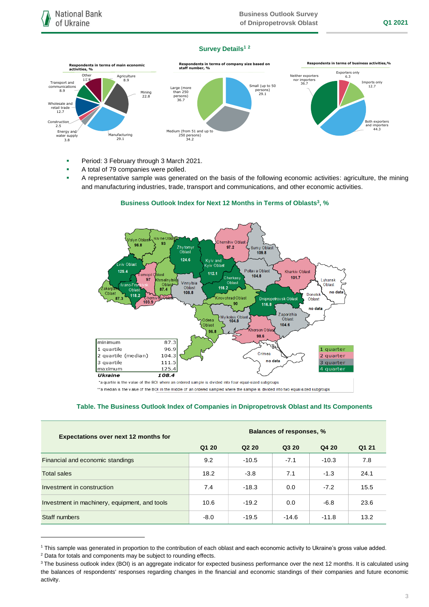### **Survey Details<sup>1</sup> <sup>2</sup>**



- **Period: 3 February through 3 March 2021.**
- A total of 79 companies were polled.
- A representative sample was generated on the basis of the following economic activities: agriculture, the mining and manufacturing industries, trade, transport and communications, and other economic activities.



# **Business Outlook Index for Next 12 Months in Terms of Oblasts<sup>3</sup> , %**

\*a quartile is the value of the BOI where an ordered sample is divided into four equal-sized subgroups

\*\*a median is the value of the BOI in the middle of an ordered sampled where the sample is divided into two equal-sized subgroups

### **Table. The Business Outlook Index of Companies in Dnipropetrovsk Oblast and Its Components**

| <b>Expectations over next 12 months for</b>   | <b>Balances of responses, %</b> |                               |         |         |       |
|-----------------------------------------------|---------------------------------|-------------------------------|---------|---------|-------|
|                                               | Q1 20                           | Q <sub>2</sub> 2 <sub>0</sub> | Q3 20   | Q4 20   | Q1 21 |
| Financial and economic standings              | 9.2                             | $-10.5$                       | $-7.1$  | $-10.3$ | 7.8   |
| <b>Total sales</b>                            | 18.2                            | $-3.8$                        | 7.1     | $-1.3$  | 24.1  |
| Investment in construction                    | 7.4                             | $-18.3$                       | 0.0     | $-7.2$  | 15.5  |
| Investment in machinery, equipment, and tools | 10.6                            | $-19.2$                       | 0.0     | $-6.8$  | 23.6  |
| Staff numbers                                 | $-8.0$                          | $-19.5$                       | $-14.6$ | $-11.8$ | 13.2  |

<sup>1</sup> This sample was generated in proportion to the contribution of each oblast and each economic activity to Ukraine's gross value added.

1

<sup>2</sup> Data for totals and components may be subject to rounding effects.

<sup>&</sup>lt;sup>3</sup> The business outlook index (BOI) is an aggregate indicator for expected business performance over the next 12 months. It is calculated using the balances of respondents' responses regarding changes in the financial and economic standings of their companies and future economic activity.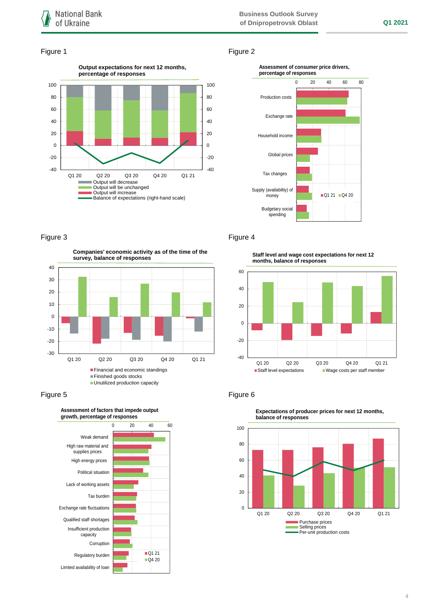### Figure 1 Figure 2





## Figure 3 **Figure 4**

**Companies' economic activity as of the time of the survey, balance of responses**







**Staff level and wage cost expectations for next 12** 





**Expectations of producer prices for next 12 months, balance of responses**